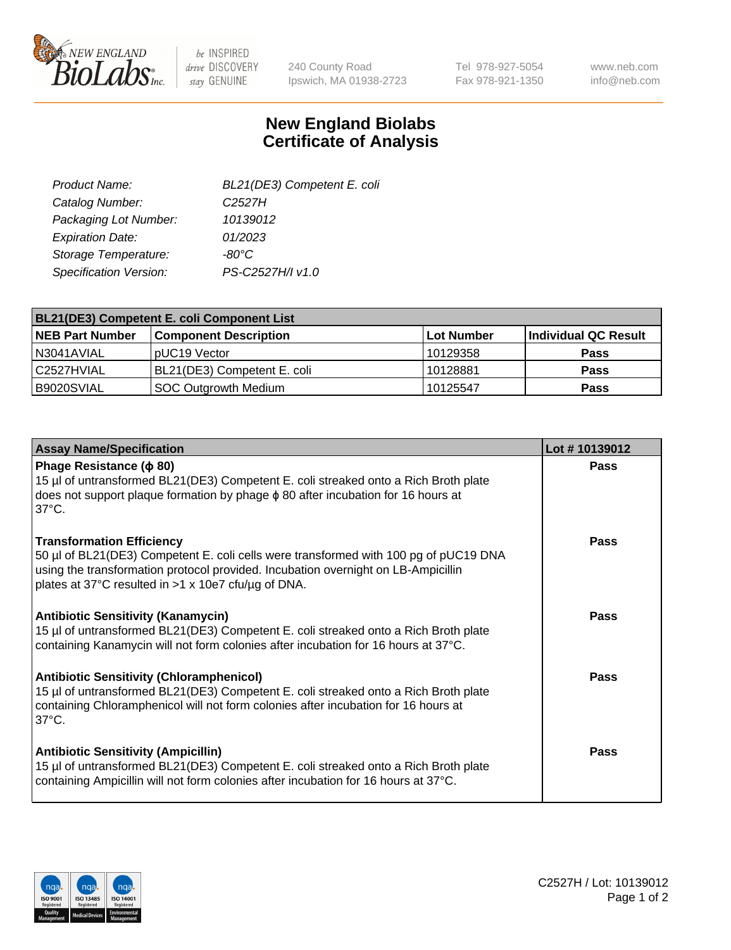

 $be$  INSPIRED drive DISCOVERY stay GENUINE

240 County Road Ipswich, MA 01938-2723 Tel 978-927-5054 Fax 978-921-1350 www.neb.com info@neb.com

## **New England Biolabs Certificate of Analysis**

| BL21(DE3) Competent E. coli |
|-----------------------------|
| C <sub>2527</sub> H         |
| 10139012                    |
| 01/2023                     |
| $-80^{\circ}$ C             |
| PS-C2527H/I v1.0            |
|                             |

| <b>BL21(DE3) Competent E. coli Component List</b> |                              |            |                      |  |
|---------------------------------------------------|------------------------------|------------|----------------------|--|
| <b>NEB Part Number</b>                            | <b>Component Description</b> | Lot Number | Individual QC Result |  |
| N3041AVIAL                                        | pUC19 Vector                 | 10129358   | <b>Pass</b>          |  |
| C2527HVIAL                                        | BL21(DE3) Competent E. coli  | 10128881   | <b>Pass</b>          |  |
| B9020SVIAL                                        | SOC Outgrowth Medium         | 10125547   | <b>Pass</b>          |  |

| <b>Assay Name/Specification</b>                                                                                                                                                                                                                                      | Lot #10139012 |
|----------------------------------------------------------------------------------------------------------------------------------------------------------------------------------------------------------------------------------------------------------------------|---------------|
| Phage Resistance ( $\phi$ 80)<br>15 µl of untransformed BL21(DE3) Competent E. coli streaked onto a Rich Broth plate<br>does not support plaque formation by phage $\phi$ 80 after incubation for 16 hours at<br>$37^{\circ}$ C.                                     | <b>Pass</b>   |
| <b>Transformation Efficiency</b><br>50 µl of BL21(DE3) Competent E. coli cells were transformed with 100 pg of pUC19 DNA<br>using the transformation protocol provided. Incubation overnight on LB-Ampicillin<br>plates at 37°C resulted in >1 x 10e7 cfu/µg of DNA. | Pass          |
| <b>Antibiotic Sensitivity (Kanamycin)</b><br>15 µl of untransformed BL21(DE3) Competent E. coli streaked onto a Rich Broth plate<br>containing Kanamycin will not form colonies after incubation for 16 hours at 37°C.                                               | Pass          |
| <b>Antibiotic Sensitivity (Chloramphenicol)</b><br>15 µl of untransformed BL21(DE3) Competent E. coli streaked onto a Rich Broth plate<br>containing Chloramphenicol will not form colonies after incubation for 16 hours at<br>$37^{\circ}$ C.                      | Pass          |
| <b>Antibiotic Sensitivity (Ampicillin)</b><br>15 µl of untransformed BL21(DE3) Competent E. coli streaked onto a Rich Broth plate<br>containing Ampicillin will not form colonies after incubation for 16 hours at 37°C.                                             | Pass          |